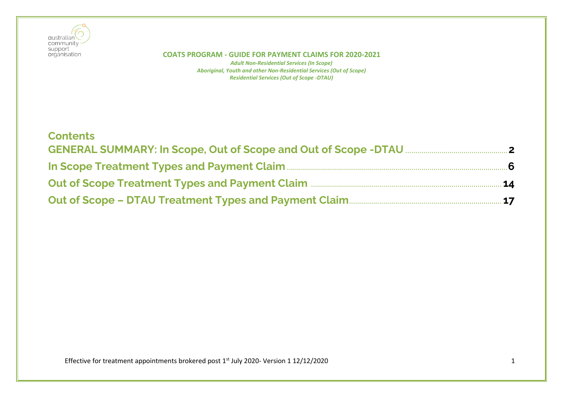

| <b>Contents</b>                                                                                                                                                                                                                     |  |
|-------------------------------------------------------------------------------------------------------------------------------------------------------------------------------------------------------------------------------------|--|
|                                                                                                                                                                                                                                     |  |
| In Scope Treatment Types and Payment Claim <b>Elion 2006</b> 2014 10:00 10:00 10:00 10:00 10:00 10:00 10:00 10:00 10:00 10:00 10:00 10:00 10:00 10:00 10:00 10:00 10:00 10:00 10:00 10:00 10:00 10:00 10:00 10:00 10:00 10:00 10:00 |  |
| Out of Scope Treatment Types and Payment Claim <b>Election Act 14</b> 14                                                                                                                                                            |  |
| Out of Scope - DTAU Treatment Types and Payment Claim [17] 17 17                                                                                                                                                                    |  |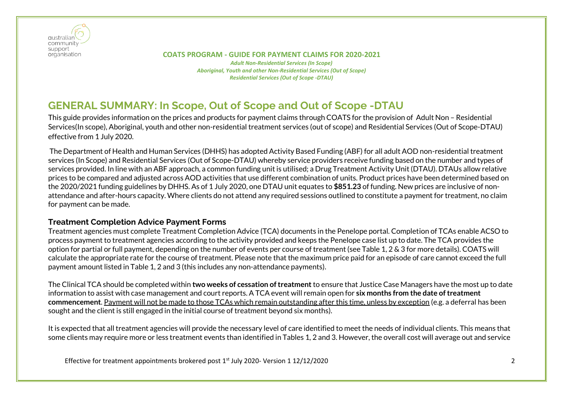

 **COATS PROGRAM - GUIDE FOR PAYMENT CLAIMS FOR 2020-2021** *Adult Non-Residential Services (In Scope) Aboriginal, Youth and other Non-Residential Services (Out of Scope) Residential Services (Out of Scope -DTAU)*

## <span id="page-1-0"></span>**GENERAL SUMMARY: In Scope, Out of Scope and Out of Scope -DTAU**

This guide provides information on the prices and products for payment claims through COATS for the provision of Adult Non – Residential Services(In scope), Aboriginal, youth and other non-residential treatment services (out of scope) and Residential Services (Out of Scope-DTAU) effective from 1 July 2020.

The Department of Health and Human Services (DHHS) has adopted Activity Based Funding (ABF) for all adult AOD non-residential treatment services (In Scope) and Residential Services (Out of Scope-DTAU) whereby service providers receive funding based on the number and types of services provided. In line with an ABF approach, a common funding unit is utilised; a Drug Treatment Activity Unit (DTAU). DTAUs allow relative prices to be compared and adjusted across AOD activities that use different combination of units. Product prices have been determined based on the 2020/2021 funding guidelines by DHHS. As of 1 July 2020, one DTAU unit equates to **\$851.23** of funding. New prices are inclusive of nonattendance and after-hours capacity. Where clients do not attend any required sessions outlined to constitute a payment for treatment, no claim for payment can be made.

## **Treatment Completion Advice Payment Forms**

Treatment agencies must complete Treatment Completion Advice (TCA) documents in the Penelope portal. Completion of TCAs enable ACSO to process payment to treatment agencies according to the activity provided and keeps the Penelope case list up to date. The TCA provides the option for partial or full payment, depending on the number of events per course of treatment (see Table 1, 2 & 3 for more details). COATS will calculate the appropriate rate for the course of treatment. Please note that the maximum price paid for an episode of care cannot exceed the full payment amount listed in Table 1, 2 and 3 (this includes any non-attendance payments).

The Clinical TCA should be completed within **two weeks of cessation of treatment** to ensure that Justice Case Managers have the most up to date information to assist with case management and court reports. A TCA event will remain open for **six months from the date of treatment commencement**. Payment will not be made to those TCAs which remain outstanding after this time, unless by exception (e.g. a deferral has been sought and the client is still engaged in the initial course of treatment beyond six months).

It is expected that all treatment agencies will provide the necessary level of care identified to meet the needs of individual clients. This means that some clients may require more or less treatment events than identified in Tables 1, 2 and 3. However, the overall cost will average out and service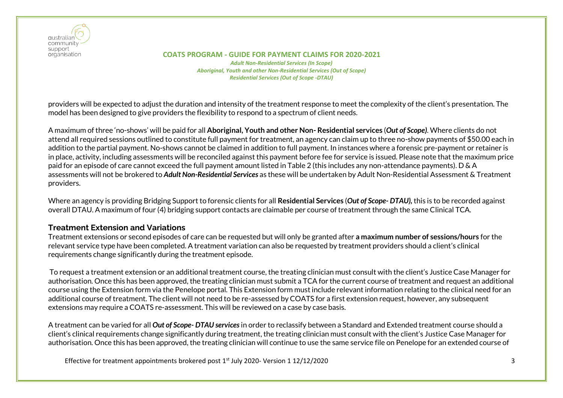

 **COATS PROGRAM - GUIDE FOR PAYMENT CLAIMS FOR 2020-2021** *Adult Non-Residential Services (In Scope) Aboriginal, Youth and other Non-Residential Services (Out of Scope) Residential Services (Out of Scope -DTAU)*

providers will be expected to adjust the duration and intensity of the treatment response to meet the complexity of the client's presentation. The model has been designed to give providers the flexibility to respond to a spectrum of client needs.

A maximum of three 'no-shows' will be paid for all **Aboriginal, Youth and other Non- Residential services** (*Out of Scope)*. Where clients do not attend all required sessions outlined to constitute full payment for treatment, an agency can claim up to three no-show payments of \$50.00 each in addition to the partial payment. No-shows cannot be claimed in addition to full payment. In instances where a forensic pre-payment or retainer is in place, activity, including assessments will be reconciled against this payment before fee for service is issued. Please note that the maximum price paid for an episode of care cannot exceed the full payment amount listed in Table 2 (this includes any non-attendance payments). D & A assessments will not be brokered to *Adult Non-Residential Services* as these will be undertaken by Adult Non-Residential Assessment & Treatment providers.

Where an agency is providing Bridging Support to forensic clients for all **Residential Services** (*Out of Scope- DTAU),* this is to be recorded against overall DTAU. A maximum of four (4) bridging support contacts are claimable per course of treatment through the same Clinical TCA.

## **Treatment Extension and Variations**

Treatment extensions or second episodes of care can be requested but will only be granted after **a maximum number of sessions/hours** for the relevant service type have been completed. A treatment variation can also be requested by treatment providers should a client's clinical requirements change significantly during the treatment episode.

To request a treatment extension or an additional treatment course, the treating clinician must consult with the client's Justice Case Manager for authorisation. Once this has been approved, the treating clinician must submit a TCA for the current course of treatment and request an additional course using the Extension form via the Penelope portal. This Extension form must include relevant information relating to the clinical need for an additional course of treatment. The client will not need to be re-assessed by COATS for a first extension request, however, any subsequent extensions may require a COATS re-assessment. This will be reviewed on a case by case basis.

A treatment can be varied for all *Out of Scope- DTAU services*in order to reclassify between a Standard and Extended treatment course should a client's clinical requirements change significantly during treatment, the treating clinician must consult with the client's Justice Case Manager for authorisation. Once this has been approved, the treating clinician will continue to use the same service file on Penelope for an extended course of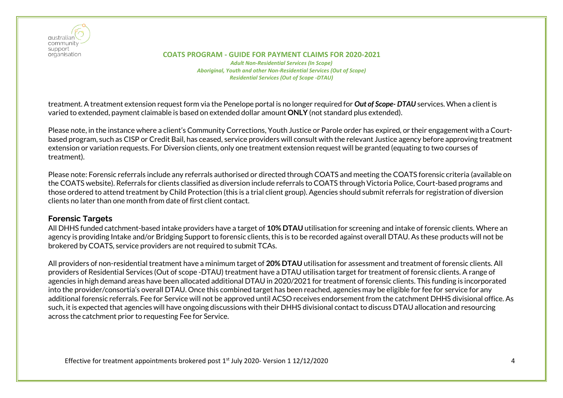

#### **COATS PROGRAM - GUIDE FOR PAYMENT CLAIMS FOR 2020-2021** *Adult Non-Residential Services (In Scope) Aboriginal, Youth and other Non-Residential Services (Out of Scope) Residential Services (Out of Scope -DTAU)*

treatment. A treatment extension request form via the Penelope portal is no longer required for *Out of Scope- DTAU* services. When a client is varied to extended, payment claimable is based on extended dollar amount **ONLY** (not standard plus extended).

Please note, in the instance where a client's Community Corrections, Youth Justice or Parole order has expired, or their engagement with a Courtbased program, such as CISP or Credit Bail, has ceased, service providers will consult with the relevant Justice agency before approving treatment extension or variation requests. For Diversion clients, only one treatment extension request will be granted (equating to two courses of treatment).

Please note: Forensic referrals include any referrals authorised or directed through COATS and meeting the COATS forensic criteria (available on the COATS website). Referrals for clients classified as diversion include referrals to COATS through Victoria Police, Court-based programs and those ordered to attend treatment by Child Protection (this is a trial client group). Agencies should submit referrals for registration of diversion clients no later than one month from date of first client contact.

### **Forensic Targets**

All DHHS funded catchment-based intake providers have a target of **10% DTAU** utilisation for screening and intake of forensic clients. Where an agency is providing Intake and/or Bridging Support to forensic clients, this is to be recorded against overall DTAU. As these products will not be brokered by COATS, service providers are not required to submit TCAs.

All providers of non-residential treatment have a minimum target of **20% DTAU** utilisation for assessment and treatment of forensic clients. All providers of Residential Services (Out of scope -DTAU) treatment have a DTAU utilisation target for treatment of forensic clients. A range of agencies in high demand areas have been allocated additional DTAU in 2020/2021 for treatment of forensic clients. This funding is incorporated into the provider/consortia's overall DTAU. Once this combined target has been reached, agencies may be eligible for fee for service for any additional forensic referrals. Fee for Service will not be approved until ACSO receives endorsement from the catchment DHHS divisional office. As such, it is expected that agencies will have ongoing discussions with their DHHS divisional contact to discuss DTAU allocation and resourcing across the catchment prior to requesting Fee for Service.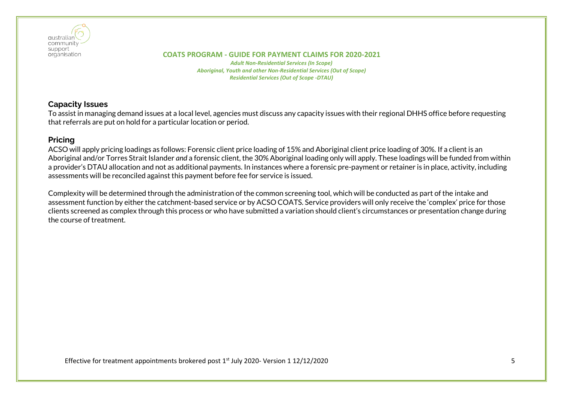

*Adult Non-Residential Services (In Scope) Aboriginal, Youth and other Non-Residential Services (Out of Scope) Residential Services (Out of Scope -DTAU)*

## **Capacity Issues**

To assist in managing demand issues at a local level, agencies must discuss any capacity issues with their regional DHHS office before requesting that referrals are put on hold for a particular location or period.

## **Pricing**

ACSO will apply pricing loadings as follows: Forensic client price loading of 15% and Aboriginal client price loading of 30%. If a client is an Aboriginal and/or Torres Strait Islander *and* a forensic client, the 30% Aboriginal loading only will apply. These loadings will be funded from within a provider's DTAU allocation and not as additional payments. In instances where a forensic pre-payment or retainer is in place, activity, including assessments will be reconciled against this payment before fee for service is issued.

Complexity will be determined through the administration of the common screening tool, which will be conducted as part of the intake and assessment function by either the catchment-based service or by ACSO COATS. Service providers will only receive the 'complex' price for those clients screened as complex through this process or who have submitted a variation should client's circumstances or presentation change during the course of treatment.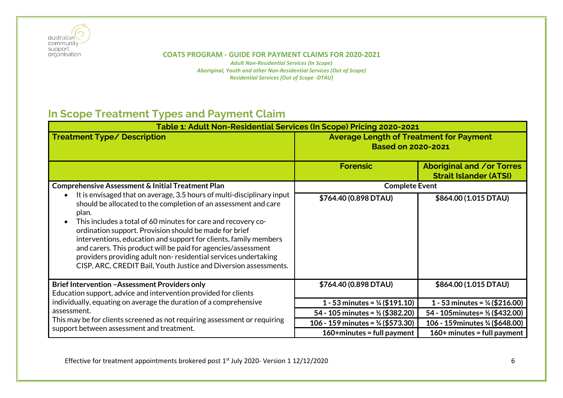

*Adult Non-Residential Services (In Scope) Aboriginal, Youth and other Non-Residential Services (Out of Scope) Residential Services (Out of Scope -DTAU)*

# <span id="page-5-0"></span>**In Scope Treatment Types and Payment Claim**

| Table 1: Adult Non-Residential Services (In Scope) Pricing 2020-2021                                                                                                                                                                                                                                                                                                                                                                                                                                                                                     |                                                                             |                                                            |  |
|----------------------------------------------------------------------------------------------------------------------------------------------------------------------------------------------------------------------------------------------------------------------------------------------------------------------------------------------------------------------------------------------------------------------------------------------------------------------------------------------------------------------------------------------------------|-----------------------------------------------------------------------------|------------------------------------------------------------|--|
| <b>Treatment Type/ Description</b>                                                                                                                                                                                                                                                                                                                                                                                                                                                                                                                       | <b>Average Length of Treatment for Payment</b><br><b>Based on 2020-2021</b> |                                                            |  |
|                                                                                                                                                                                                                                                                                                                                                                                                                                                                                                                                                          | <b>Forensic</b>                                                             | Aboriginal and /or Torres<br><b>Strait Islander (ATSI)</b> |  |
| <b>Comprehensive Assessment &amp; Initial Treatment Plan</b>                                                                                                                                                                                                                                                                                                                                                                                                                                                                                             | <b>Complete Event</b>                                                       |                                                            |  |
| It is envisaged that on average, 3.5 hours of multi-disciplinary input<br>should be allocated to the completion of an assessment and care<br>plan.<br>This includes a total of 60 minutes for care and recovery co-<br>ordination support. Provision should be made for brief<br>interventions, education and support for clients, family members<br>and carers. This product will be paid for agencies/assessment<br>providers providing adult non-residential services undertaking<br>CISP, ARC, CREDIT Bail, Youth Justice and Diversion assessments. | \$764.40 (0.898 DTAU)                                                       | \$864.00 (1.015 DTAU)                                      |  |
| <b>Brief Intervention - Assessment Providers only</b>                                                                                                                                                                                                                                                                                                                                                                                                                                                                                                    | \$764.40 (0.898 DTAU)                                                       | \$864.00 (1.015 DTAU)                                      |  |
| Education support, advice and intervention provided for clients                                                                                                                                                                                                                                                                                                                                                                                                                                                                                          |                                                                             |                                                            |  |
| individually, equating on average the duration of a comprehensive                                                                                                                                                                                                                                                                                                                                                                                                                                                                                        | 1 - 53 minutes = $\frac{1}{4}$ (\$191.10)                                   | 1 - 53 minutes = $\frac{1}{4}$ (\$216.00)                  |  |
| assessment.                                                                                                                                                                                                                                                                                                                                                                                                                                                                                                                                              | 54 - 105 minutes = $\frac{1}{2}$ (\$382.20)                                 | 54 - 105 minutes = 1/2 (\$432.00)                          |  |
| This may be for clients screened as not requiring assessment or requiring                                                                                                                                                                                                                                                                                                                                                                                                                                                                                | 106 - 159 minutes = $\frac{3}{4}$ (\$573.30)                                | 106 - 159 minutes 3/4 (\$648.00)                           |  |
| support between assessment and treatment.                                                                                                                                                                                                                                                                                                                                                                                                                                                                                                                | $160+$ minutes = full payment                                               | $160+$ minutes = full payment                              |  |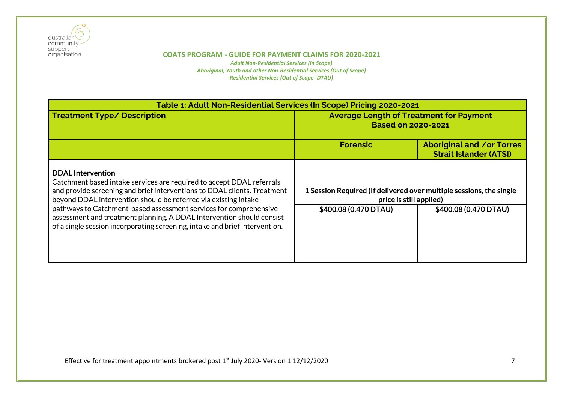

| Table 1: Adult Non-Residential Services (In Scope) Pricing 2020-2021                                                                                                                                                                             |                                                                                                |                                                                   |
|--------------------------------------------------------------------------------------------------------------------------------------------------------------------------------------------------------------------------------------------------|------------------------------------------------------------------------------------------------|-------------------------------------------------------------------|
| <b>Treatment Type/ Description</b>                                                                                                                                                                                                               | <b>Average Length of Treatment for Payment</b><br><b>Based on 2020-2021</b>                    |                                                                   |
|                                                                                                                                                                                                                                                  | <b>Forensic</b>                                                                                | <b>Aboriginal and /or Torres</b><br><b>Strait Islander (ATSI)</b> |
| <b>DDAL</b> Intervention<br>Catchment based intake services are required to accept DDAL referrals<br>and provide screening and brief interventions to DDAL clients. Treatment<br>beyond DDAL intervention should be referred via existing intake | 1 Session Required (If delivered over multiple sessions, the single<br>price is still applied) |                                                                   |
| pathways to Catchment-based assessment services for comprehensive<br>assessment and treatment planning. A DDAL Intervention should consist<br>of a single session incorporating screening, intake and brief intervention.                        | \$400.08 (0.470 DTAU)                                                                          | \$400.08 (0.470 DTAU)                                             |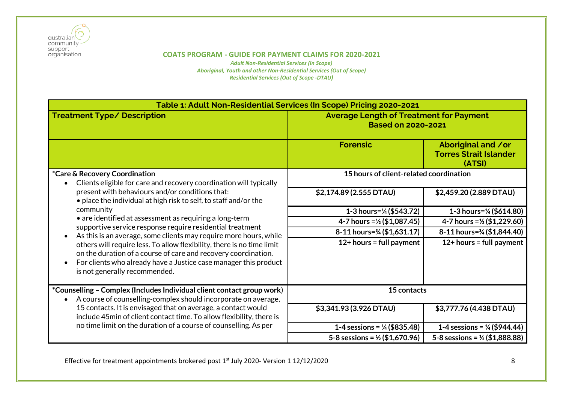

*Adult Non-Residential Services (In Scope) Aboriginal, Youth and other Non-Residential Services (Out of Scope) Residential Services (Out of Scope -DTAU)*

| Table 1: Adult Non-Residential Services (In Scope) Pricing 2020-2021                                                                                                                                                                                                                                                                                                                                                                       |                                                                             |                                                               |  |
|--------------------------------------------------------------------------------------------------------------------------------------------------------------------------------------------------------------------------------------------------------------------------------------------------------------------------------------------------------------------------------------------------------------------------------------------|-----------------------------------------------------------------------------|---------------------------------------------------------------|--|
| <b>Treatment Type/ Description</b>                                                                                                                                                                                                                                                                                                                                                                                                         | <b>Average Length of Treatment for Payment</b><br><b>Based on 2020-2021</b> |                                                               |  |
|                                                                                                                                                                                                                                                                                                                                                                                                                                            | <b>Forensic</b>                                                             | Aboriginal and /or<br><b>Torres Strait Islander</b><br>(ATSI) |  |
| *Care & Recovery Coordination<br>Clients eligible for care and recovery coordination will typically                                                                                                                                                                                                                                                                                                                                        | 15 hours of client-related coordination                                     |                                                               |  |
| present with behaviours and/or conditions that:<br>• place the individual at high risk to self, to staff and/or the                                                                                                                                                                                                                                                                                                                        | \$2,174.89 (2.555 DTAU)                                                     | \$2,459.20 (2.889 DTAU)                                       |  |
| community                                                                                                                                                                                                                                                                                                                                                                                                                                  | 1-3 hours=1/ <sub>4</sub> (\$543.72)                                        | 1-3 hours= $\frac{1}{4}$ (\$614.80)                           |  |
| • are identified at assessment as requiring a long-term<br>supportive service response require residential treatment<br>As this is an average, some clients may require more hours, while<br>others will require less. To allow flexibility, there is no time limit<br>on the duration of a course of care and recovery coordination.<br>For clients who already have a Justice case manager this product<br>is not generally recommended. | 4-7 hours = $\frac{1}{2}$ (\$1,087.45)                                      | 4-7 hours = $\frac{1}{2}$ (\$1,229.60)                        |  |
|                                                                                                                                                                                                                                                                                                                                                                                                                                            | 8-11 hours=3/4 (\$1,631.17)                                                 | 8-11 hours=3/4 (\$1,844.40)                                   |  |
|                                                                                                                                                                                                                                                                                                                                                                                                                                            | $12+$ hours = full payment                                                  | $12+$ hours = full payment                                    |  |
| *Counselling - Complex (Includes Individual client contact group work)<br>A course of counselling-complex should incorporate on average,                                                                                                                                                                                                                                                                                                   | 15 contacts                                                                 |                                                               |  |
| 15 contacts. It is envisaged that on average, a contact would<br>include 45min of client contact time. To allow flexibility, there is                                                                                                                                                                                                                                                                                                      | \$3,341.93 (3.926 DTAU)                                                     | \$3,777.76 (4.438 DTAU)                                       |  |
| no time limit on the duration of a course of counselling. As per                                                                                                                                                                                                                                                                                                                                                                           | 1-4 sessions = $\frac{1}{4}$ (\$835.48)                                     | 1-4 sessions = $\frac{1}{4}$ (\$944.44)                       |  |
|                                                                                                                                                                                                                                                                                                                                                                                                                                            | 5-8 sessions = $\frac{1}{2}$ (\$1,670.96)                                   | 5-8 sessions = $\frac{1}{2}$ (\$1,888.88)                     |  |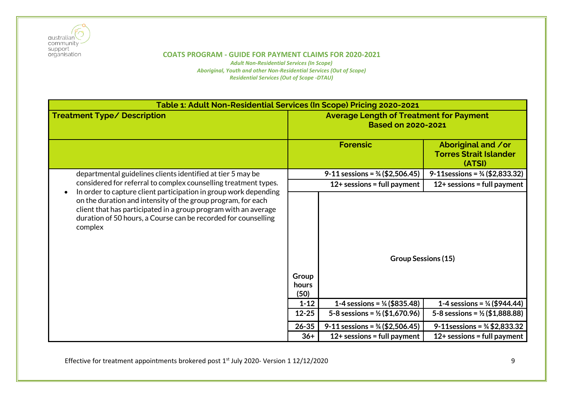

*Adult Non-Residential Services (In Scope) Aboriginal, Youth and other Non-Residential Services (Out of Scope) Residential Services (Out of Scope -DTAU)*

| Table 1: Adult Non-Residential Services (In Scope) Pricing 2020-2021                                                                                                                                         |                                                                             |                                            |                                                               |
|--------------------------------------------------------------------------------------------------------------------------------------------------------------------------------------------------------------|-----------------------------------------------------------------------------|--------------------------------------------|---------------------------------------------------------------|
| <b>Treatment Type/ Description</b>                                                                                                                                                                           | <b>Average Length of Treatment for Payment</b><br><b>Based on 2020-2021</b> |                                            |                                                               |
|                                                                                                                                                                                                              |                                                                             | <b>Forensic</b>                            | Aboriginal and /or<br><b>Torres Strait Islander</b><br>(ATSI) |
| departmental guidelines clients identified at tier 5 may be                                                                                                                                                  |                                                                             | 9-11 sessions = $\frac{3}{4}$ (\$2,506.45) | 9-11 sessions = $\frac{3}{4}$ (\$2,833.32)                    |
| considered for referral to complex counselling treatment types.<br>In order to capture client participation in group work depending                                                                          |                                                                             | $12+$ sessions = full payment              | $12+$ sessions = full payment                                 |
| on the duration and intensity of the group program, for each<br>client that has participated in a group program with an average<br>duration of 50 hours, a Course can be recorded for counselling<br>complex | Group<br>hours<br>(50)                                                      | <b>Group Sessions (15)</b>                 |                                                               |
|                                                                                                                                                                                                              | $1 - 12$                                                                    | 1-4 sessions = $\frac{1}{4}$ (\$835.48)    | 1-4 sessions = $\frac{1}{4}$ (\$944.44)                       |
|                                                                                                                                                                                                              | $12 - 25$                                                                   | 5-8 sessions = $\frac{1}{2}$ (\$1,670.96)  | 5-8 sessions = $\frac{1}{2}$ (\$1,888.88)                     |
|                                                                                                                                                                                                              | $26 - 35$                                                                   | 9-11 sessions = $\frac{3}{4}$ (\$2,506.45) | 9-11 sessions = $\frac{3}{4}$ \$2,833.32                      |
|                                                                                                                                                                                                              | $36+$                                                                       | $12+$ sessions = full payment              | $12+$ sessions = full payment                                 |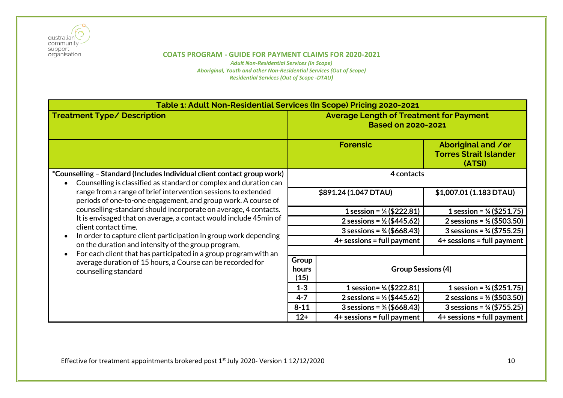

| Table 1: Adult Non-Residential Services (In Scope) Pricing 2020-2021                                                                                                                              |                                                                             |                                       |                                                               |  |  |
|---------------------------------------------------------------------------------------------------------------------------------------------------------------------------------------------------|-----------------------------------------------------------------------------|---------------------------------------|---------------------------------------------------------------|--|--|
| <b>Treatment Type/ Description</b>                                                                                                                                                                | <b>Average Length of Treatment for Payment</b><br><b>Based on 2020-2021</b> |                                       |                                                               |  |  |
|                                                                                                                                                                                                   |                                                                             | <b>Forensic</b>                       | Aboriginal and /or<br><b>Torres Strait Islander</b><br>(ATSI) |  |  |
| *Counselling - Standard (Includes Individual client contact group work)<br>Counselling is classified as standard or complex and duration can                                                      |                                                                             | 4 contacts                            |                                                               |  |  |
| range from a range of brief intervention sessions to extended<br>periods of one-to-one engagement, and group work. A course of<br>counselling-standard should incorporate on average, 4 contacts. |                                                                             | \$891.24 (1.047 DTAU)                 | \$1,007.01 (1.183 DTAU)                                       |  |  |
|                                                                                                                                                                                                   |                                                                             | 1 session = $\frac{1}{4}$ (\$222.81)  | 1 session = $\frac{1}{4}$ (\$251.75)                          |  |  |
| It is envisaged that on average, a contact would include 45min of                                                                                                                                 |                                                                             | 2 sessions = $\frac{1}{2}$ (\$445.62) | 2 sessions = $\frac{1}{2}$ (\$503.50)                         |  |  |
| client contact time.<br>In order to capture client participation in group work depending                                                                                                          |                                                                             | 3 sessions = $\frac{3}{4}$ (\$668.43) | $3$ sessions = $\frac{3}{4}$ (\$755.25)                       |  |  |
| on the duration and intensity of the group program,                                                                                                                                               |                                                                             | $4+$ sessions = full payment          | $4+$ sessions = full payment                                  |  |  |
| For each client that has participated in a group program with an                                                                                                                                  |                                                                             |                                       |                                                               |  |  |
| average duration of 15 hours, a Course can be recorded for                                                                                                                                        | Group                                                                       |                                       |                                                               |  |  |
| counselling standard                                                                                                                                                                              | hours<br>(15)                                                               | <b>Group Sessions (4)</b>             |                                                               |  |  |
|                                                                                                                                                                                                   | $1 - 3$                                                                     | 1 session= $\frac{1}{4}$ (\$222.81)   | 1 session = $\frac{1}{4}$ (\$251.75)                          |  |  |
|                                                                                                                                                                                                   | $4 - 7$                                                                     | 2 sessions = $\frac{1}{2}$ (\$445.62) | 2 sessions = $\frac{1}{2}$ (\$503.50)                         |  |  |
|                                                                                                                                                                                                   | $8 - 11$                                                                    | 3 sessions = $\frac{3}{4}$ (\$668.43) | 3 sessions = $\frac{3}{4}$ (\$755.25)                         |  |  |
|                                                                                                                                                                                                   | $12+$                                                                       | $4+$ sessions = full payment          | $4+$ sessions = full payment                                  |  |  |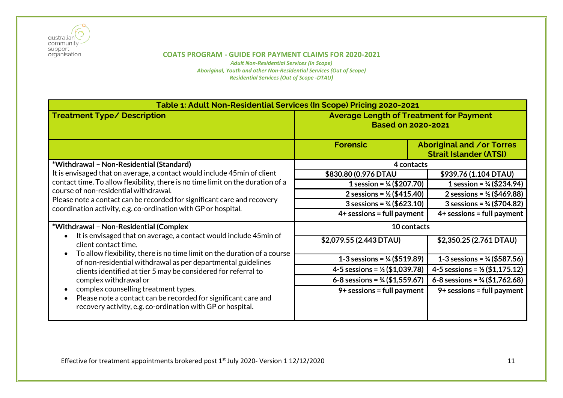

| Table 1: Adult Non-Residential Services (In Scope) Pricing 2020-2021                                                                                                                          |                                                                             |                                                                   |  |
|-----------------------------------------------------------------------------------------------------------------------------------------------------------------------------------------------|-----------------------------------------------------------------------------|-------------------------------------------------------------------|--|
| <b>Treatment Type/ Description</b>                                                                                                                                                            | <b>Average Length of Treatment for Payment</b><br><b>Based on 2020-2021</b> |                                                                   |  |
|                                                                                                                                                                                               | <b>Forensic</b>                                                             | <b>Aboriginal and /or Torres</b><br><b>Strait Islander (ATSI)</b> |  |
| *Withdrawal - Non-Residential (Standard)                                                                                                                                                      | 4 contacts                                                                  |                                                                   |  |
| It is envisaged that on average, a contact would include 45 min of client                                                                                                                     | \$830.80 (0.976 DTAU                                                        | \$939.76 (1.104 DTAU)                                             |  |
| contact time. To allow flexibility, there is no time limit on the duration of a                                                                                                               | 1 session = $\frac{1}{4}$ (\$207.70)                                        | 1 session = $\frac{1}{4}$ (\$234.94)                              |  |
| course of non-residential withdrawal.<br>Please note a contact can be recorded for significant care and recovery<br>coordination activity, e.g. co-ordination with GP or hospital.            | 2 sessions = $\frac{1}{2}$ (\$415.40)                                       | 2 sessions = $\frac{1}{2}$ (\$469.88)                             |  |
|                                                                                                                                                                                               | 3 sessions = $\frac{3}{4}$ (\$623.10)                                       | 3 sessions = $\frac{3}{4}$ (\$704.82)                             |  |
|                                                                                                                                                                                               | $4+$ sessions = full payment                                                | $4+$ sessions = full payment                                      |  |
| *Withdrawal - Non-Residential (Complex                                                                                                                                                        | 10 contacts                                                                 |                                                                   |  |
| It is envisaged that on average, a contact would include 45min of<br>client contact time.<br>To allow flexibility, there is no time limit on the duration of a course                         | \$2,079.55 (2.443 DTAU)                                                     | \$2,350.25 (2.761 DTAU)                                           |  |
| of non-residential withdrawal as per departmental guidelines                                                                                                                                  | 1-3 sessions = $\frac{1}{4}$ (\$519.89)                                     | 1-3 sessions = $\frac{1}{4}$ (\$587.56)                           |  |
| clients identified at tier 5 may be considered for referral to                                                                                                                                | 4-5 sessions = $\frac{1}{2}$ (\$1,039.78)                                   | 4-5 sessions = $\frac{1}{2}$ (\$1,175.12)                         |  |
| complex withdrawal or<br>complex counselling treatment types.<br>Please note a contact can be recorded for significant care and<br>recovery activity, e.g. co-ordination with GP or hospital. | 6-8 sessions = $\frac{3}{4}$ (\$1,559.67)                                   | 6-8 sessions = $\frac{3}{4}$ (\$1,762.68)                         |  |
|                                                                                                                                                                                               | $9+$ sessions = full payment                                                | $9+$ sessions = full payment                                      |  |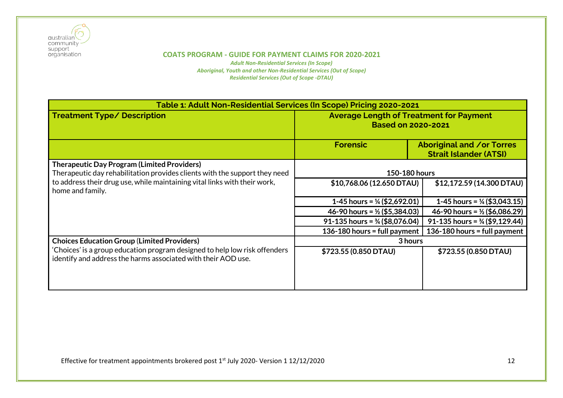

| Table 1: Adult Non-Residential Services (In Scope) Pricing 2020-2021                                                                        |                                                                             |                                                                   |  |
|---------------------------------------------------------------------------------------------------------------------------------------------|-----------------------------------------------------------------------------|-------------------------------------------------------------------|--|
| <b>Treatment Type/ Description</b>                                                                                                          | <b>Average Length of Treatment for Payment</b><br><b>Based on 2020-2021</b> |                                                                   |  |
|                                                                                                                                             | <b>Forensic</b>                                                             | <b>Aboriginal and /or Torres</b><br><b>Strait Islander (ATSI)</b> |  |
| <b>Therapeutic Day Program (Limited Providers)</b><br>Therapeutic day rehabilitation provides clients with the support they need            | 150-180 hours                                                               |                                                                   |  |
| to address their drug use, while maintaining vital links with their work,<br>home and family.                                               | \$10,768.06 (12.650 DTAU)                                                   | \$12,172.59 (14.300 DTAU)                                         |  |
|                                                                                                                                             | 1-45 hours = $\frac{1}{4}$ (\$2,692.01)                                     | 1-45 hours = $\frac{1}{4}$ (\$3,043.15)                           |  |
|                                                                                                                                             | 46-90 hours = $\frac{1}{2}$ (\$5,384.03)                                    | 46-90 hours = $\frac{1}{2}$ (\$6,086.29)                          |  |
|                                                                                                                                             | 91-135 hours = $\frac{3}{4}$ (\$8,076.04)                                   | 91-135 hours = $\frac{3}{4}$ (\$9,129.44)                         |  |
|                                                                                                                                             | 136-180 hours = full payment                                                | 136-180 hours = full payment                                      |  |
| <b>Choices Education Group (Limited Providers)</b>                                                                                          | 3 hours                                                                     |                                                                   |  |
| 'Choices' is a group education program designed to help low risk offenders<br>identify and address the harms associated with their AOD use. | \$723.55 (0.850 DTAU)                                                       | \$723.55 (0.850 DTAU)                                             |  |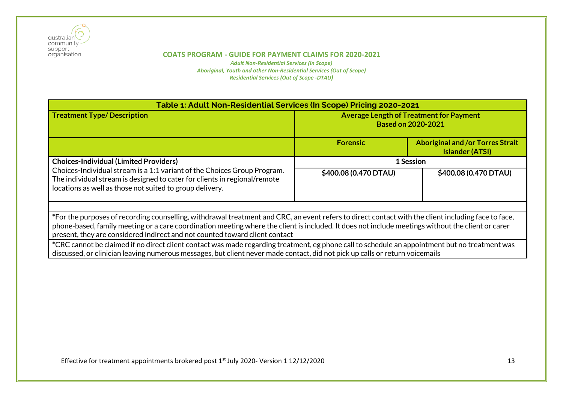

| Table 1: Adult Non-Residential Services (In Scope) Pricing 2020-2021                                                                                                                                                                                                                                                                                                                    |                                                                             |                                                                   |  |
|-----------------------------------------------------------------------------------------------------------------------------------------------------------------------------------------------------------------------------------------------------------------------------------------------------------------------------------------------------------------------------------------|-----------------------------------------------------------------------------|-------------------------------------------------------------------|--|
| <b>Treatment Type/Description</b>                                                                                                                                                                                                                                                                                                                                                       | <b>Average Length of Treatment for Payment</b><br><b>Based on 2020-2021</b> |                                                                   |  |
|                                                                                                                                                                                                                                                                                                                                                                                         | <b>Forensic</b>                                                             | <b>Aboriginal and /or Torres Strait</b><br><b>Islander (ATSI)</b> |  |
| <b>Choices-Individual (Limited Providers)</b><br>Choices-Individual stream is a 1:1 variant of the Choices Group Program.<br>The individual stream is designed to cater for clients in regional/remote<br>locations as well as those not suited to group delivery.                                                                                                                      | 1 Session                                                                   |                                                                   |  |
|                                                                                                                                                                                                                                                                                                                                                                                         | \$400.08 (0.470 DTAU)                                                       | \$400.08 (0.470 DTAU)                                             |  |
|                                                                                                                                                                                                                                                                                                                                                                                         |                                                                             |                                                                   |  |
| *For the purposes of recording counselling, withdrawal treatment and CRC, an event refers to direct contact with the client including face to face,<br>phone-based, family meeting or a care coordination meeting where the client is included. It does not include meetings without the client or carer<br>present, they are considered indirect and not counted toward client contact |                                                                             |                                                                   |  |
| *CRC cannot be claimed if no direct client contact was made regarding treatment, eg phone call to schedule an appointment but no treatment was<br>discussed, or clinician leaving numerous messages, but client never made contact, did not pick up calls or return voicemails                                                                                                          |                                                                             |                                                                   |  |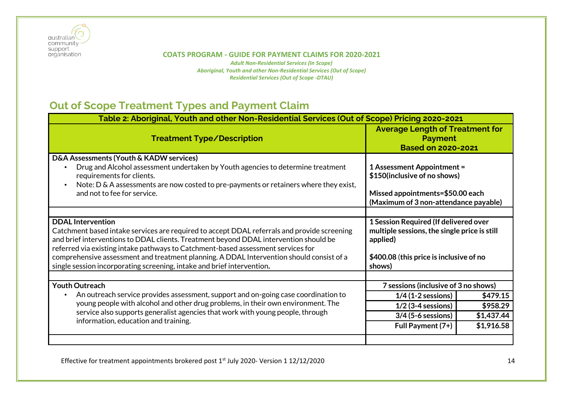

#### **COATS PROGRAM - GUIDE FOR PAYMENT CLAIMS FOR 2020-2021** *Adult Non-Residential Services (In Scope)*

*Aboriginal, Youth and other Non-Residential Services (Out of Scope) Residential Services (Out of Scope -DTAU)*

## <span id="page-13-0"></span>**Out of Scope Treatment Types and Payment Claim**

| Table 2: Aboriginal, Youth and other Non-Residential Services (Out of Scope) Pricing 2020-2021                                                                                                                                                                                                                                                                                                                                                                             |                                                                                                                                                        |            |  |
|----------------------------------------------------------------------------------------------------------------------------------------------------------------------------------------------------------------------------------------------------------------------------------------------------------------------------------------------------------------------------------------------------------------------------------------------------------------------------|--------------------------------------------------------------------------------------------------------------------------------------------------------|------------|--|
| <b>Treatment Type/Description</b>                                                                                                                                                                                                                                                                                                                                                                                                                                          | <b>Average Length of Treatment for</b><br><b>Payment</b><br><b>Based on 2020-2021</b>                                                                  |            |  |
| D&A Assessments (Youth & KADW services)<br>Drug and Alcohol assessment undertaken by Youth agencies to determine treatment<br>requirements for clients.<br>Note: D & A assessments are now costed to pre-payments or retainers where they exist,<br>and not to fee for service.                                                                                                                                                                                            | <b>1 Assessment Appointment =</b><br>\$150(inclusive of no shows)<br>Missed appointments=\$50.00 each<br>(Maximum of 3 non-attendance payable)         |            |  |
|                                                                                                                                                                                                                                                                                                                                                                                                                                                                            |                                                                                                                                                        |            |  |
| <b>DDAL</b> Intervention<br>Catchment based intake services are required to accept DDAL referrals and provide screening<br>and brief interventions to DDAL clients. Treatment beyond DDAL intervention should be<br>referred via existing intake pathways to Catchment-based assessment services for<br>comprehensive assessment and treatment planning. A DDAL Intervention should consist of a<br>single session incorporating screening, intake and brief intervention. | 1 Session Required (If delivered over<br>multiple sessions, the single price is still<br>applied)<br>\$400.08 (this price is inclusive of no<br>shows) |            |  |
|                                                                                                                                                                                                                                                                                                                                                                                                                                                                            |                                                                                                                                                        |            |  |
| <b>Youth Outreach</b>                                                                                                                                                                                                                                                                                                                                                                                                                                                      | 7 sessions (inclusive of 3 no shows)                                                                                                                   |            |  |
| An outreach service provides assessment, support and on-going case coordination to                                                                                                                                                                                                                                                                                                                                                                                         | $1/4$ (1-2 sessions)                                                                                                                                   | \$479.15   |  |
| young people with alcohol and other drug problems, in their own environment. The                                                                                                                                                                                                                                                                                                                                                                                           | $1/2$ (3-4 sessions)                                                                                                                                   | \$958.29   |  |
| service also supports generalist agencies that work with young people, through                                                                                                                                                                                                                                                                                                                                                                                             | 3/4 (5-6 sessions)                                                                                                                                     | \$1,437.44 |  |
| information, education and training.                                                                                                                                                                                                                                                                                                                                                                                                                                       | Full Payment (7+)                                                                                                                                      | \$1,916.58 |  |
|                                                                                                                                                                                                                                                                                                                                                                                                                                                                            |                                                                                                                                                        |            |  |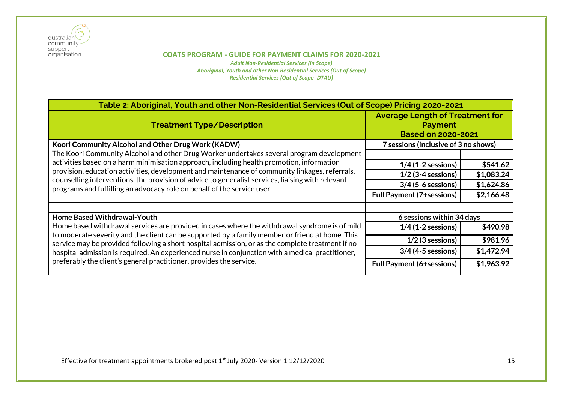

*Adult Non-Residential Services (In Scope) Aboriginal, Youth and other Non-Residential Services (Out of Scope) Residential Services (Out of Scope -DTAU)*

| Table 2: Aboriginal, Youth and other Non-Residential Services (Out of Scope) Pricing 2020-2021                                                                                                                                                                                                                                                                                                                                                                                  |                                                                                       |            |  |  |
|---------------------------------------------------------------------------------------------------------------------------------------------------------------------------------------------------------------------------------------------------------------------------------------------------------------------------------------------------------------------------------------------------------------------------------------------------------------------------------|---------------------------------------------------------------------------------------|------------|--|--|
| <b>Treatment Type/Description</b>                                                                                                                                                                                                                                                                                                                                                                                                                                               | <b>Average Length of Treatment for</b><br><b>Payment</b><br><b>Based on 2020-2021</b> |            |  |  |
| Koori Community Alcohol and Other Drug Work (KADW)                                                                                                                                                                                                                                                                                                                                                                                                                              | 7 sessions (inclusive of 3 no shows)                                                  |            |  |  |
| The Koori Community Alcohol and other Drug Worker undertakes several program development                                                                                                                                                                                                                                                                                                                                                                                        |                                                                                       |            |  |  |
| activities based on a harm minimisation approach, including health promotion, information                                                                                                                                                                                                                                                                                                                                                                                       | $1/4$ (1-2 sessions)                                                                  | \$541.62   |  |  |
| provision, education activities, development and maintenance of community linkages, referrals,                                                                                                                                                                                                                                                                                                                                                                                  | $1/2$ (3-4 sessions)                                                                  | \$1,083.24 |  |  |
| counselling interventions, the provision of advice to generalist services, liaising with relevant<br>programs and fulfilling an advocacy role on behalf of the service user.                                                                                                                                                                                                                                                                                                    | $3/4$ (5-6 sessions)                                                                  | \$1,624.86 |  |  |
|                                                                                                                                                                                                                                                                                                                                                                                                                                                                                 | <b>Full Payment (7+sessions)</b>                                                      | \$2,166.48 |  |  |
|                                                                                                                                                                                                                                                                                                                                                                                                                                                                                 |                                                                                       |            |  |  |
| Home Based Withdrawal-Youth                                                                                                                                                                                                                                                                                                                                                                                                                                                     | 6 sessions within 34 days                                                             |            |  |  |
| Home based withdrawal services are provided in cases where the withdrawal syndrome is of mild<br>to moderate severity and the client can be supported by a family member or friend at home. This<br>service may be provided following a short hospital admission, or as the complete treatment if no<br>hospital admission is required. An experienced nurse in conjunction with a medical practitioner,<br>preferably the client's general practitioner, provides the service. | $1/4$ (1-2 sessions)                                                                  | \$490.98   |  |  |
|                                                                                                                                                                                                                                                                                                                                                                                                                                                                                 | $1/2$ (3 sessions)                                                                    | \$981.96   |  |  |
|                                                                                                                                                                                                                                                                                                                                                                                                                                                                                 | $3/4$ (4-5 sessions)                                                                  | \$1,472.94 |  |  |
|                                                                                                                                                                                                                                                                                                                                                                                                                                                                                 | <b>Full Payment (6+sessions)</b>                                                      | \$1,963.92 |  |  |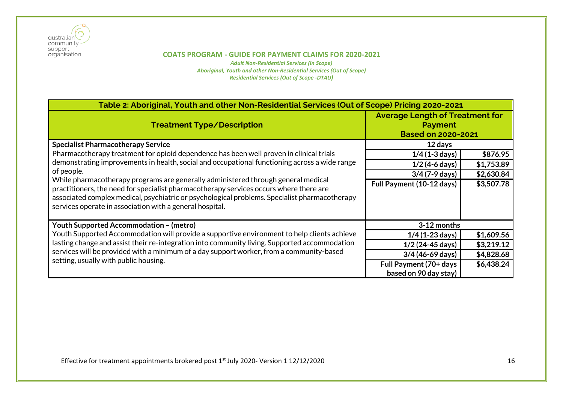

| Table 2: Aboriginal, Youth and other Non-Residential Services (Out of Scope) Pricing 2020-2021                                                                                                                                                                                                                                           |                                                                                       |            |  |  |
|------------------------------------------------------------------------------------------------------------------------------------------------------------------------------------------------------------------------------------------------------------------------------------------------------------------------------------------|---------------------------------------------------------------------------------------|------------|--|--|
| <b>Treatment Type/Description</b>                                                                                                                                                                                                                                                                                                        | <b>Average Length of Treatment for</b><br><b>Payment</b><br><b>Based on 2020-2021</b> |            |  |  |
| <b>Specialist Pharmacotherapy Service</b>                                                                                                                                                                                                                                                                                                | 12 days                                                                               |            |  |  |
| Pharmacotherapy treatment for opioid dependence has been well proven in clinical trials                                                                                                                                                                                                                                                  | $1/4$ (1-3 days)                                                                      | \$876.95   |  |  |
| demonstrating improvements in health, social and occupational functioning across a wide range                                                                                                                                                                                                                                            | $1/2$ (4-6 days)                                                                      | \$1,753.89 |  |  |
| of people.                                                                                                                                                                                                                                                                                                                               | $3/4$ (7-9 days)                                                                      | \$2,630.84 |  |  |
| While pharmacotherapy programs are generally administered through general medical<br>practitioners, the need for specialist pharmacotherapy services occurs where there are<br>associated complex medical, psychiatric or psychological problems. Specialist pharmacotherapy<br>services operate in association with a general hospital. | Full Payment (10-12 days)                                                             | \$3,507.78 |  |  |
| <b>Youth Supported Accommodation - (metro)</b>                                                                                                                                                                                                                                                                                           | 3-12 months                                                                           |            |  |  |
| Youth Supported Accommodation will provide a supportive environment to help clients achieve                                                                                                                                                                                                                                              | $1/4$ (1-23 days)                                                                     | \$1,609.56 |  |  |
| lasting change and assist their re-integration into community living. Supported accommodation                                                                                                                                                                                                                                            | $1/2$ (24-45 days)                                                                    | \$3,219.12 |  |  |
| services will be provided with a minimum of a day support worker, from a community-based                                                                                                                                                                                                                                                 | $3/4$ (46-69 days)                                                                    | \$4,828.68 |  |  |
| setting, usually with public housing.                                                                                                                                                                                                                                                                                                    | Full Payment (70+ days                                                                | \$6,438.24 |  |  |
|                                                                                                                                                                                                                                                                                                                                          | based on 90 day stay)                                                                 |            |  |  |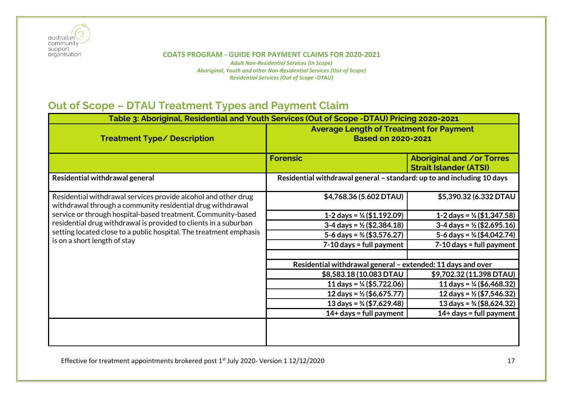

*Adult Non-Residential Services (In Scope) Aboriginal, Youth and other Non-Residential Services (Out of Scope) Residential Services (Out of Scope -DTAU)*

## <span id="page-16-0"></span>**Out of Scope – DTAU Treatment Types and Payment Claim**

| Table 3: Aboriginal, Residential and Youth Services (Out of Scope -DTAU) Pricing 2020-2021                                   |                                                                             |                                                                   |
|------------------------------------------------------------------------------------------------------------------------------|-----------------------------------------------------------------------------|-------------------------------------------------------------------|
| <b>Treatment Type/ Description</b>                                                                                           | <b>Average Length of Treatment for Payment</b><br><b>Based on 2020-2021</b> |                                                                   |
|                                                                                                                              | <b>Forensic</b>                                                             | <b>Aboriginal and /or Torres</b><br><b>Strait Islander (ATSI)</b> |
| Residential withdrawal general                                                                                               | Residential withdrawal general - standard: up to and including 10 days      |                                                                   |
| Residential withdrawal services provide alcohol and other drug<br>withdrawal through a community residential drug withdrawal | \$4,768.36 (5.602 DTAU)                                                     | \$5,390.32 (6.332 DTAU                                            |
| service or through hospital-based treatment. Community-based                                                                 | 1-2 days = $\frac{1}{4}$ (\$1,192.09)                                       | 1-2 days = $\frac{1}{4}$ (\$1,347.58)                             |
| residential drug withdrawal is provided to clients in a suburban                                                             | $3-4$ days = $\frac{1}{2}$ (\$2,384.18)                                     | $3-4$ days = $\frac{1}{2}$ (\$2,695.16)                           |
| setting located close to a public hospital. The treatment emphasis                                                           | 5-6 days = $\frac{3}{4}$ (\$3,576.27)                                       | 5-6 days = $\frac{3}{4}$ (\$4,042.74)                             |
| is on a short length of stay                                                                                                 | $7-10$ days = full payment                                                  | $7-10$ days = full payment                                        |
|                                                                                                                              | Residential withdrawal general - extended: 11 days and over                 |                                                                   |
|                                                                                                                              | \$8,583.18 (10.083 DTAU                                                     | \$9,702.32 (11.398 DTAU)                                          |
|                                                                                                                              | 11 days = $\frac{1}{4}$ (\$5,722.06)                                        | 11 days = $\frac{1}{4}$ (\$6,468.32)                              |
|                                                                                                                              | 12 days = $\frac{1}{2}$ (\$6,675.77)                                        | 12 days = $\frac{1}{2}$ (\$7,546.32)                              |
|                                                                                                                              | 13 days = $\frac{3}{4}$ (\$7,629.48)                                        | 13 days = $\frac{3}{4}$ (\$8,624.32)                              |
|                                                                                                                              | $14+$ days = full payment                                                   | $14+$ days = full payment                                         |
|                                                                                                                              |                                                                             |                                                                   |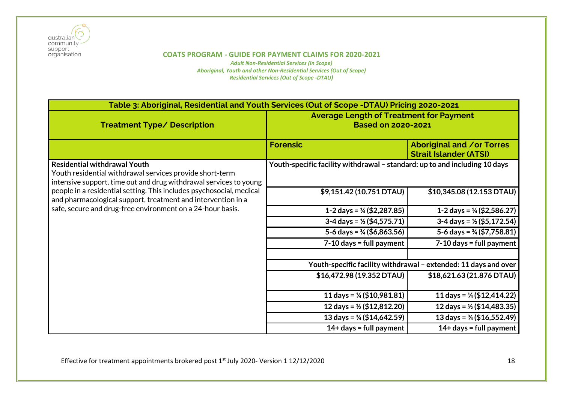

| Table 3: Aboriginal, Residential and Youth Services (Out of Scope -DTAU) Pricing 2020-2021                                                                           |                                                                             |                                                                   |
|----------------------------------------------------------------------------------------------------------------------------------------------------------------------|-----------------------------------------------------------------------------|-------------------------------------------------------------------|
| <b>Treatment Type/ Description</b>                                                                                                                                   | <b>Average Length of Treatment for Payment</b><br><b>Based on 2020-2021</b> |                                                                   |
|                                                                                                                                                                      | <b>Forensic</b>                                                             | <b>Aboriginal and /or Torres</b><br><b>Strait Islander (ATSI)</b> |
| <b>Residential withdrawal Youth</b><br>Youth residential withdrawal services provide short-term<br>intensive support, time out and drug withdrawal services to young | Youth-specific facility withdrawal – standard: up to and including 10 days  |                                                                   |
| people in a residential setting. This includes psychosocial, medical<br>and pharmacological support, treatment and intervention in a                                 | \$9,151.42 (10.751 DTAU)                                                    | \$10,345.08 (12.153 DTAU)                                         |
| safe, secure and drug-free environment on a 24-hour basis.                                                                                                           | 1-2 days = $\frac{1}{4}$ (\$2,287.85)                                       | 1-2 days = $\frac{1}{4}$ (\$2,586.27)                             |
|                                                                                                                                                                      | $3-4$ days = $\frac{1}{2}$ (\$4,575.71)                                     | $3-4$ days = $\frac{1}{2}$ (\$5,172.54)                           |
|                                                                                                                                                                      | 5-6 days = $\frac{3}{4}$ (\$6,863.56)                                       | 5-6 days = $\frac{3}{4}$ (\$7,758.81)                             |
|                                                                                                                                                                      | $7-10$ days = full payment                                                  | $7-10$ days = full payment                                        |
|                                                                                                                                                                      |                                                                             | Youth-specific facility withdrawal - extended: 11 days and over   |
|                                                                                                                                                                      | \$16,472.98 (19.352 DTAU)                                                   | \$18,621.63 (21.876 DTAU)                                         |
|                                                                                                                                                                      | 11 days = $\frac{1}{4}$ (\$10,981.81)                                       | 11 days = $\frac{1}{4}$ (\$12,414.22)                             |
|                                                                                                                                                                      | 12 days = $\frac{1}{2}$ (\$12,812.20)                                       | 12 days = $\frac{1}{2}$ (\$14,483.35)                             |
|                                                                                                                                                                      | 13 days = $\frac{3}{4}$ (\$14,642.59)                                       | 13 days = $\frac{3}{4}$ (\$16,552.49)                             |
|                                                                                                                                                                      | 14+ days = full payment                                                     | $14+$ days = full payment                                         |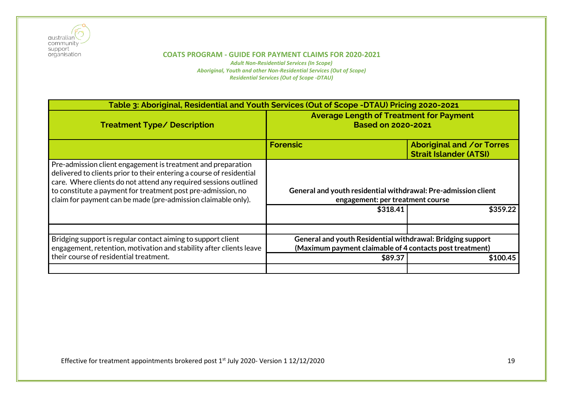

| Table 3: Aboriginal, Residential and Youth Services (Out of Scope -DTAU) Pricing 2020-2021                                                                                                                                                                                                                                                |                                                                                                                                               |                                                            |
|-------------------------------------------------------------------------------------------------------------------------------------------------------------------------------------------------------------------------------------------------------------------------------------------------------------------------------------------|-----------------------------------------------------------------------------------------------------------------------------------------------|------------------------------------------------------------|
| <b>Treatment Type/ Description</b>                                                                                                                                                                                                                                                                                                        | <b>Average Length of Treatment for Payment</b><br><b>Based on 2020-2021</b>                                                                   |                                                            |
|                                                                                                                                                                                                                                                                                                                                           | <b>Forensic</b>                                                                                                                               | Aboriginal and /or Torres<br><b>Strait Islander (ATSI)</b> |
| Pre-admission client engagement is treatment and preparation<br>delivered to clients prior to their entering a course of residential<br>care. Where clients do not attend any required sessions outlined<br>to constitute a payment for treatment post pre-admission, no<br>claim for payment can be made (pre-admission claimable only). | General and youth residential withdrawal: Pre-admission client<br>engagement: per treatment course                                            |                                                            |
|                                                                                                                                                                                                                                                                                                                                           | \$318.41                                                                                                                                      | \$359.22                                                   |
| Bridging support is regular contact aiming to support client<br>engagement, retention, motivation and stability after clients leave<br>their course of residential treatment.                                                                                                                                                             | General and youth Residential withdrawal: Bridging support<br>(Maximum payment claimable of 4 contacts post treatment)<br>\$89.37<br>\$100.45 |                                                            |
|                                                                                                                                                                                                                                                                                                                                           |                                                                                                                                               |                                                            |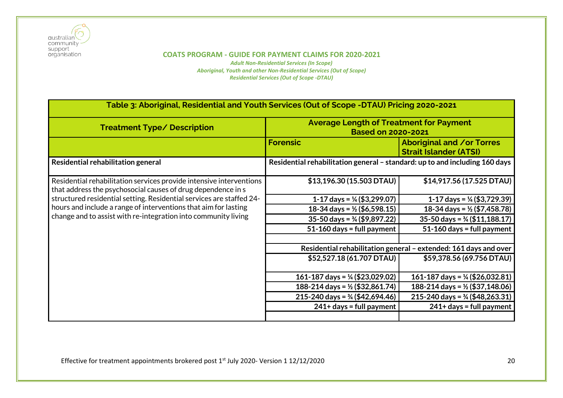

| Table 3: Aboriginal, Residential and Youth Services (Out of Scope -DTAU) Pricing 2020-2021                                          |                                                                             |                                                                   |
|-------------------------------------------------------------------------------------------------------------------------------------|-----------------------------------------------------------------------------|-------------------------------------------------------------------|
| <b>Treatment Type/ Description</b>                                                                                                  | <b>Average Length of Treatment for Payment</b><br><b>Based on 2020-2021</b> |                                                                   |
|                                                                                                                                     | <b>Forensic</b>                                                             | <b>Aboriginal and /or Torres</b><br><b>Strait Islander (ATSI)</b> |
| Residential rehabilitation general                                                                                                  | Residential rehabilitation general - standard: up to and including 160 days |                                                                   |
| Residential rehabilitation services provide intensive interventions<br>that address the psychosocial causes of drug dependence in s | \$13,196.30 (15.503 DTAU)                                                   | \$14,917.56 (17.525 DTAU)                                         |
| structured residential setting. Residential services are staffed 24-                                                                | 1-17 days = $\frac{1}{4}$ (\$3,299.07)                                      | 1-17 days = $\frac{1}{4}$ (\$3,729.39)                            |
| hours and include a range of interventions that aim for lasting<br>change and to assist with re-integration into community living   | 18-34 days = $\frac{1}{2}$ (\$6,598.15)                                     | 18-34 days = $\frac{1}{2}$ (\$7,458.78)                           |
|                                                                                                                                     | $35-50$ days = $\frac{3}{4}$ (\$9,897.22)                                   | $35-50$ days = $\frac{3}{4}$ (\$11,188.17)                        |
|                                                                                                                                     | $51-160$ days = full payment                                                | $51-160$ days = full payment                                      |
|                                                                                                                                     |                                                                             |                                                                   |
|                                                                                                                                     | Residential rehabilitation general - extended: 161 days and over            |                                                                   |
|                                                                                                                                     | \$52,527.18 (61.707 DTAU)                                                   | \$59,378.56 (69.756 DTAU)                                         |
|                                                                                                                                     | 161-187 days = $\frac{1}{4}$ (\$23,029.02)                                  | 161-187 days = $\frac{1}{4}$ (\$26,032.81)                        |
|                                                                                                                                     | 188-214 days = $\frac{1}{2}$ (\$32,861.74)                                  | 188-214 days = $\frac{1}{2}$ (\$37,148.06)                        |
|                                                                                                                                     | 215-240 days = $\frac{3}{4}$ (\$42,694.46)                                  | 215-240 days = $\frac{3}{4}$ (\$48,263.31)                        |
|                                                                                                                                     | $241+ days = full payment$                                                  | $241+ days = full payment$                                        |
|                                                                                                                                     |                                                                             |                                                                   |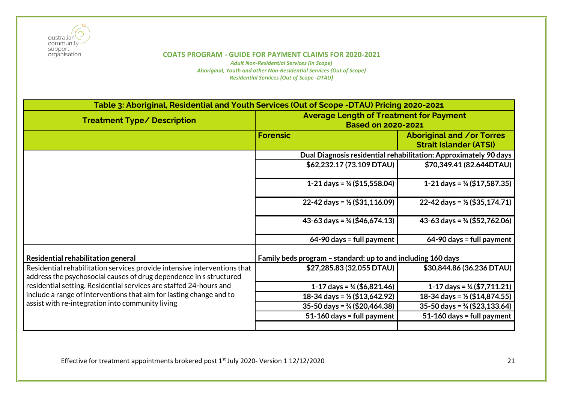

*Adult Non-Residential Services (In Scope) Aboriginal, Youth and other Non-Residential Services (Out of Scope) Residential Services (Out of Scope -DTAU)*

| Table 3: Aboriginal, Residential and Youth Services (Out of Scope -DTAU) Pricing 2020-2021                                                     |                                                                             |                                                            |
|------------------------------------------------------------------------------------------------------------------------------------------------|-----------------------------------------------------------------------------|------------------------------------------------------------|
| <b>Treatment Type/ Description</b>                                                                                                             | <b>Average Length of Treatment for Payment</b><br><b>Based on 2020-2021</b> |                                                            |
|                                                                                                                                                | <b>Forensic</b>                                                             | Aboriginal and /or Torres<br><b>Strait Islander (ATSI)</b> |
|                                                                                                                                                | Dual Diagnosis residential rehabilitation: Approximately 90 days            |                                                            |
|                                                                                                                                                | \$62,232.17 (73.109 DTAU)                                                   | \$70,349.41 (82.644DTAU)                                   |
|                                                                                                                                                | 1-21 days = $\frac{1}{4}$ (\$15,558.04)                                     | 1-21 days = $\frac{1}{4}$ (\$17,587.35)                    |
|                                                                                                                                                | 22-42 days = $\frac{1}{2}$ (\$31,116.09)                                    | 22-42 days = $\frac{1}{2}$ (\$35,174.71)                   |
|                                                                                                                                                | 43-63 days = $\frac{3}{4}$ (\$46,674.13)                                    | 43-63 days = $\frac{3}{4}$ (\$52,762.06)                   |
|                                                                                                                                                | $64-90$ days = full payment                                                 | $64-90$ days = full payment                                |
| Residential rehabilitation general                                                                                                             | Family beds program - standard: up to and including 160 days                |                                                            |
| Residential rehabilitation services provide intensive interventions that<br>address the psychosocial causes of drug dependence in s structured | \$27,285.83 (32.055 DTAU)                                                   | \$30,844.86 (36.236 DTAU)                                  |
| residential setting. Residential services are staffed 24-hours and                                                                             | 1-17 days = $\frac{1}{4}$ (\$6,821.46)                                      | 1-17 days = $\frac{1}{4}$ (\$7,711.21)                     |
| include a range of interventions that aim for lasting change and to                                                                            | 18-34 days = $\frac{1}{2}$ (\$13,642.92)                                    | 18-34 days = $\frac{1}{2}$ (\$14,874.55)                   |
| assist with re-integration into community living                                                                                               | $35-50$ days = $\frac{3}{4}$ (\$20,464.38)                                  | $35-50$ days = $\frac{3}{4}$ (\$23,133.64)                 |
|                                                                                                                                                | 51-160 days = full payment                                                  | 51-160 days = full payment                                 |
|                                                                                                                                                |                                                                             |                                                            |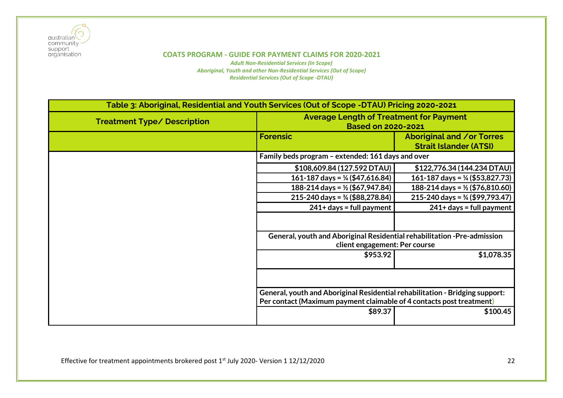

| Table 3: Aboriginal, Residential and Youth Services (Out of Scope -DTAU) Pricing 2020-2021 |                                                                              |                                                                   |
|--------------------------------------------------------------------------------------------|------------------------------------------------------------------------------|-------------------------------------------------------------------|
| <b>Treatment Type/ Description</b>                                                         | <b>Average Length of Treatment for Payment</b><br><b>Based on 2020-2021</b>  |                                                                   |
|                                                                                            | <b>Forensic</b>                                                              | <b>Aboriginal and /or Torres</b><br><b>Strait Islander (ATSI)</b> |
|                                                                                            | Family beds program - extended: 161 days and over                            |                                                                   |
|                                                                                            | \$108,609.84 (127.592 DTAU)                                                  | \$122,776.34 (144.234 DTAU)                                       |
|                                                                                            | 161-187 days = $\frac{1}{4}$ (\$47,616.84)                                   | 161-187 days = $\frac{1}{4}$ (\$53,827.73)                        |
|                                                                                            | 188-214 days = $\frac{1}{2}$ (\$67,947.84)                                   | 188-214 days = $\frac{1}{2}$ (\$76,810.60)                        |
|                                                                                            | 215-240 days = $\frac{3}{4}$ (\$88,278.84)                                   | 215-240 days = $\frac{3}{4}$ (\$99,793.47)                        |
|                                                                                            | $241+$ days = full payment                                                   | $241+$ days = full payment                                        |
|                                                                                            |                                                                              |                                                                   |
|                                                                                            | General, youth and Aboriginal Residential rehabilitation -Pre-admission      |                                                                   |
|                                                                                            | client engagement: Per course                                                |                                                                   |
|                                                                                            | \$953.92                                                                     | \$1,078.35                                                        |
|                                                                                            |                                                                              |                                                                   |
|                                                                                            | General, youth and Aboriginal Residential rehabilitation - Bridging support: |                                                                   |
|                                                                                            | Per contact (Maximum payment claimable of 4 contacts post treatment)         |                                                                   |
|                                                                                            | \$89.37                                                                      | \$100.45                                                          |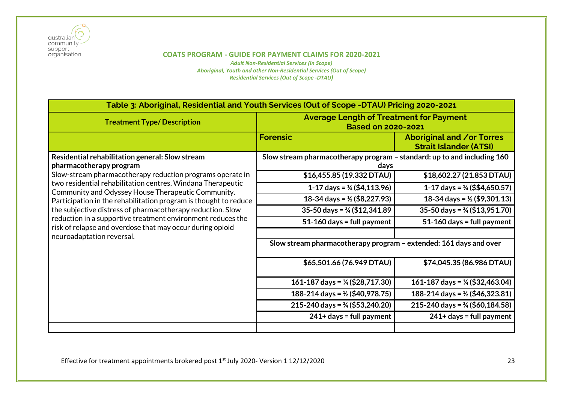

| Table 3: Aboriginal, Residential and Youth Services (Out of Scope -DTAU) Pricing 2020-2021                                                                                                                                                                                                                                                                                                                   |                                                                                 |                                                            |
|--------------------------------------------------------------------------------------------------------------------------------------------------------------------------------------------------------------------------------------------------------------------------------------------------------------------------------------------------------------------------------------------------------------|---------------------------------------------------------------------------------|------------------------------------------------------------|
| <b>Treatment Type/Description</b>                                                                                                                                                                                                                                                                                                                                                                            | <b>Average Length of Treatment for Payment</b><br><b>Based on 2020-2021</b>     |                                                            |
|                                                                                                                                                                                                                                                                                                                                                                                                              | <b>Forensic</b>                                                                 | Aboriginal and /or Torres<br><b>Strait Islander (ATSI)</b> |
| Residential rehabilitation general: Slow stream<br>pharmacotherapy program                                                                                                                                                                                                                                                                                                                                   | Slow stream pharmacotherapy program - standard: up to and including 160<br>days |                                                            |
| Slow-stream pharmacotherapy reduction programs operate in                                                                                                                                                                                                                                                                                                                                                    | \$16,455.85 (19.332 DTAU)                                                       | \$18,602.27 (21.853 DTAU)                                  |
| two residential rehabilitation centres, Windana Therapeutic<br>Community and Odyssey House Therapeutic Community.<br>Participation in the rehabilitation program is thought to reduce<br>the subjective distress of pharmacotherapy reduction. Slow<br>reduction in a supportive treatment environment reduces the<br>risk of relapse and overdose that may occur during opioid<br>neuroadaptation reversal. | 1-17 days = $\frac{1}{4}$ (\$4,113.96)                                          | 1-17 days = $\frac{1}{4}$ (\$\$4,650.57)                   |
|                                                                                                                                                                                                                                                                                                                                                                                                              | 18-34 days = $\frac{1}{2}$ (\$8,227.93)                                         | 18-34 days = $\frac{1}{2}$ (\$9,301.13)                    |
|                                                                                                                                                                                                                                                                                                                                                                                                              | 35-50 days = $\frac{3}{4}$ (\$12,341.89)                                        | $35-50$ days = $\frac{3}{4}$ (\$13,951.70)                 |
|                                                                                                                                                                                                                                                                                                                                                                                                              | $51-160$ days = full payment                                                    | $51-160$ days = full payment                               |
|                                                                                                                                                                                                                                                                                                                                                                                                              | Slow stream pharmacotherapy program – extended: 161 days and over               |                                                            |
|                                                                                                                                                                                                                                                                                                                                                                                                              | \$65,501.66 (76.949 DTAU)                                                       | \$74,045.35 (86.986 DTAU)                                  |
|                                                                                                                                                                                                                                                                                                                                                                                                              | 161-187 days = $\frac{1}{4}$ (\$28,717.30)                                      | 161-187 days = $\frac{1}{4}$ (\$32,463.04)                 |
|                                                                                                                                                                                                                                                                                                                                                                                                              | 188-214 days = $\frac{1}{2}$ (\$40,978.75)                                      | 188-214 days = $\frac{1}{2}$ (\$46,323.81)                 |
|                                                                                                                                                                                                                                                                                                                                                                                                              | 215-240 days = $\frac{3}{4}$ (\$53,240.20)                                      | 215-240 days = $\frac{3}{4}$ (\$60,184.58)                 |
|                                                                                                                                                                                                                                                                                                                                                                                                              | $241+$ days = full payment                                                      | $241+ days = full payment$                                 |
|                                                                                                                                                                                                                                                                                                                                                                                                              |                                                                                 |                                                            |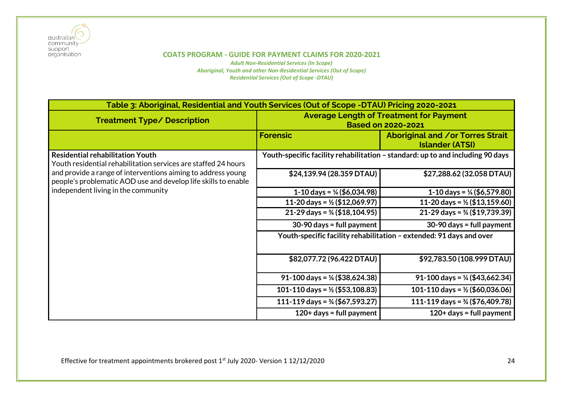

| Table 3: Aboriginal, Residential and Youth Services (Out of Scope -DTAU) Pricing 2020-2021                                                                            |                                                                                |                                                                     |
|-----------------------------------------------------------------------------------------------------------------------------------------------------------------------|--------------------------------------------------------------------------------|---------------------------------------------------------------------|
| <b>Treatment Type/ Description</b>                                                                                                                                    | <b>Average Length of Treatment for Payment</b><br><b>Based on 2020-2021</b>    |                                                                     |
|                                                                                                                                                                       | <b>Forensic</b>                                                                | <b>Aboriginal and /or Torres Strait</b><br><b>Islander (ATSI)</b>   |
| <b>Residential rehabilitation Youth</b><br>Youth residential rehabilitation services are staffed 24 hours                                                             | Youth-specific facility rehabilitation – standard: up to and including 90 days |                                                                     |
| and provide a range of interventions aiming to address young<br>people's problematic AOD use and develop life skills to enable<br>independent living in the community | \$24,139.94 (28.359 DTAU)                                                      | \$27,288.62 (32.058 DTAU)                                           |
|                                                                                                                                                                       | 1-10 days = $\frac{1}{4}$ (\$6,034.98)                                         | 1-10 days = $\frac{1}{4}$ (\$6,579.80)                              |
|                                                                                                                                                                       | 11-20 days = $\frac{1}{2}$ (\$12,069.97)                                       | 11-20 days = $\frac{1}{2}$ (\$13,159.60)                            |
|                                                                                                                                                                       | $21-29$ days = $\frac{3}{4}$ (\$18,104.95)                                     | 21-29 days = $\frac{3}{4}$ (\$19,739.39)                            |
|                                                                                                                                                                       | $30-90$ days = full payment                                                    | $30-90$ days = full payment                                         |
|                                                                                                                                                                       |                                                                                | Youth-specific facility rehabilitation - extended: 91 days and over |
|                                                                                                                                                                       | \$82,077.72 (96.422 DTAU)                                                      | \$92,783.50 (108.999 DTAU)                                          |
|                                                                                                                                                                       | 91-100 days = $\frac{1}{4}$ (\$38,624.38)                                      | 91-100 days = $\frac{1}{4}$ (\$43,662.34)                           |
|                                                                                                                                                                       | 101-110 days = $\frac{1}{2}$ (\$53,108.83)                                     | 101-110 days = $\frac{1}{2}$ (\$60,036.06)                          |
|                                                                                                                                                                       | 111-119 days = $\frac{3}{4}$ (\$67,593.27)                                     | 111-119 days = $\frac{3}{4}$ (\$76,409.78)                          |
|                                                                                                                                                                       | $120+$ days = full payment                                                     | $120+$ days = full payment                                          |